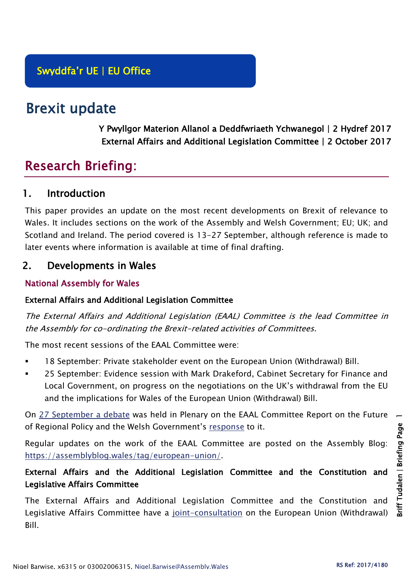# Brexit update

Y Pwyllgor Materion Allanol a Deddfwriaeth Ychwanegol | 2 Hydref 2017 External Affairs and Additional Legislation Committee | 2 October 2017

# Research Briefing:

## 1. Introduction

This paper provides an update on the most recent developments on Brexit of relevance to Wales. It includes sections on the work of the Assembly and Welsh Government; EU; UK; and Scotland and Ireland. The period covered is 13-27 September, although reference is made to later events where information is available at time of final drafting.

# 2. Developments in Wales

## National Assembly for Wales

#### External Affairs and Additional Legislation Committee

The External Affairs and Additional Legislation (EAAL) Committee is the lead Committee in the Assembly for co-ordinating the Brexit-related activities of Committees.

The most recent sessions of the EAAL Committee were:

- 18 September: Private stakeholder event on the European Union (Withdrawal) Bill.
- 25 September: Evidence session with Mark Drakeford, Cabinet Secretary for Finance and Local Government, on progress on the negotiations on the UK's withdrawal from the EU and the implications for Wales of the European Union (Withdrawal) Bill.

On [27 September a debate](http://www.assembly.wales/en/bus-home/Pages/Plenary.aspx?assembly=5&category=Record%20of%20Proceedings&startDt=19/09/2017&endDt=19/09/2017) was held in Plenary on the EAAL Committee Report on the Future of Regional Policy and the Welsh Government's [response](http://www.cynulliad.cymru/laid%20documents/gen-ld11184/gen-ld11184-e.pdf) to it.

Regular updates on the work of the EAAL Committee are posted on the Assembly Blog: [https://assemblyblog.wales/tag/european-union/.](https://assemblyblog.wales/tag/european-union/)

## External Affairs and the Additional Legislation Committee and the Constitution and Legislative Affairs Committee

The External Affairs and Additional Legislation Committee and the Constitution and Legislative Affairs Committee have a [joint-consultation](http://senedd.assembly.wales/mgConsultationDisplay.aspx?ID=269) on the European Union (Withdrawal) Bill.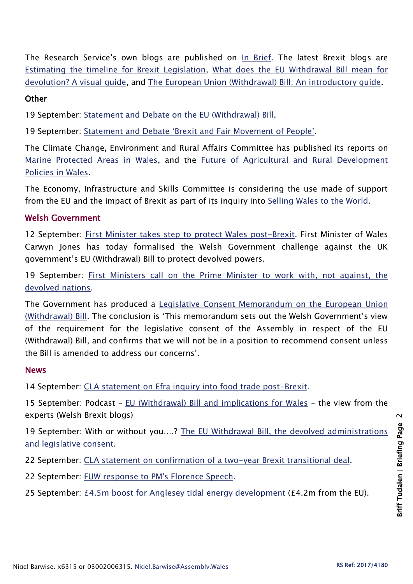The Research Service's own blogs are published on [In Brief.](https://assemblyinbrief.wordpress.com/) The latest Brexit blogs are [Estimating the timeline for Brexit Legislation,](https://assemblyinbrief.wordpress.com/2017/09/21/estimating-the-timeline-for-brexit-legislation-2/) [What does the EU Withdrawal Bill mean for](https://assemblyinbrief.wordpress.com/2017/09/14/what-does-the-eu-withdrawal-bill-mean-for-devolution-a-visual-guide/)  [devolution? A visual guide,](https://assemblyinbrief.wordpress.com/2017/09/14/what-does-the-eu-withdrawal-bill-mean-for-devolution-a-visual-guide/) and [The European Union \(Withdrawal\) Bill: An introductory guide.](http://www.assembly.wales/Research%20Documents/17-018/17-018-Web-English.pdf)

#### **Other**

19 September: [Statement and Debate on the EU \(Withdrawal\) Bill.](http://www.assembly.wales/en/bus-home/pages/rop.aspx?meetingid=4483&assembly=5&c=Record%20of%20Proceedings#C492893)

19 September: [Statement and Debate 'Brexit and Fair Movement of People'](http://www.assembly.wales/en/bus-home/pages/rop.aspx?meetingid=4483&assembly=5&c=Record%20of%20Proceedings#C492955).

The Climate Change, Environment and Rural Affairs Committee has published its reports on [Marine Protected Areas in Wales,](http://senedd.assembly.wales/mgIssueHistoryHome.aspx?IId=16663) and the [Future of Agricultural and Rural Development](http://senedd.assembly.wales/mgIssueHistoryHome.aspx?IId=15876)  [Policies in Wales.](http://senedd.assembly.wales/mgIssueHistoryHome.aspx?IId=15876)

The Economy, Infrastructure and Skills Committee is considering the use made of support from the EU and the impact of Brexit as part of its inquiry into [Selling Wales to the World.](http://senedd.assembly.wales/mgIssueHistoryHome.aspx?IId=19347)

#### Welsh Government

12 September: [First Minister takes step to protect Wales post-Brexit.](http://gov.wales/newsroom/firstminister/2017/170912-fm-takes-step-to-protect-wales-post-brexit/?lang=en) First Minister of Wales Carwyn Jones has today formalised the Welsh Government challenge against the UK government's EU (Withdrawal) Bill to protect devolved powers.

19 September: [First Ministers call on the Prime Minister to work with, not against, the](http://gov.wales/newsroom/firstminister/2017/170919-fms-call-on-pm-to-work-with-devolved-nations/?lang=en)  [devolved nations.](http://gov.wales/newsroom/firstminister/2017/170919-fms-call-on-pm-to-work-with-devolved-nations/?lang=en)

The Government has produced a [Legislative Consent Memorandum on the European Union](http://www.assembly.wales/laid%20documents/lcm-ld11177/lcm-ld11177-e.pdf)  [\(Withdrawal\) Bill](http://www.assembly.wales/laid%20documents/lcm-ld11177/lcm-ld11177-e.pdf). The conclusion is 'This memorandum sets out the Welsh Government's view of the requirement for the legislative consent of the Assembly in respect of the EU (Withdrawal) Bill, and confirms that we will not be in a position to recommend consent unless the Bill is amended to address our concerns'.

#### News

14 September: [CLA statement on Efra inquiry into food trade post-Brexit.](http://www.cla.org.uk/CLA%20statement%20on%20Efra%20inquiry%20into%20food%20trade%20post-Brexit)

15 September: Podcast – [EU \(Withdrawal\) Bill and implications for Wales](http://blogs.cardiff.ac.uk/brexit/2017/09/15/new-podcast-eu-withdrawal-bill-and-implications-for-wales-the-view-from-the-experts/) – the view from the experts (Welsh Brexit blogs)

19 September: With or without you....? The EU Withdrawal Bill, the devolved administrations [and legislative consent.](http://blogs.cardiff.ac.uk/brexit/2017/09/19/with-or-without-you-the-eu-withdrawal-bill-the-devolved-administrations-and-legislative-consent/)

- 22 September: [CLA statement on confirmation of a two-year Brexit transitional deal.](http://www.cla.org.uk/influence/all-news/cla-statement-confirmation-two-year-brexit-transitional-deal)
- 22 September: [FUW response to PM's Florence Speech.](http://fuw.org.uk/index.php?option=com_content&view=article&id=12909:fuw-respond-to-pm-s-florence-speech&catid=13&Itemid=181&lang=en)
- 25 September: [£4.5m boost for Anglesey tidal energy development](http://www.bbc.co.uk/news/uk-wales-north-west-wales-41390099) (£4.2m from the EU).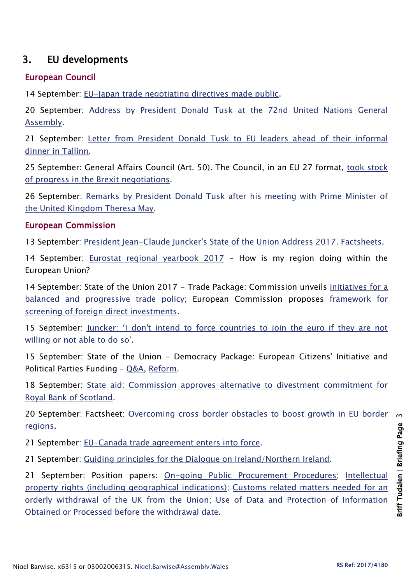# 3. EU developments

#### European Council

14 September: [EU-Japan trade negotiating directives made public.](http://www.consilium.europa.eu/en/press/press-releases/2017/09/14-eu-japan-trade-negotiating/)

20 September: [Address by President Donald Tusk at the 72nd United Nations General](http://www.consilium.europa.eu/en/press/press-releases/2017/09/20-tusk-speech-un-general-assembly/)  [Assembly.](http://www.consilium.europa.eu/en/press/press-releases/2017/09/20-tusk-speech-un-general-assembly/)

21 September: [Letter from President Donald Tusk to EU leaders ahead of their informal](http://www.consilium.europa.eu/en/press/press-releases/2017/09/21-tusk-letter-tallinn/)  [dinner in Tallinn.](http://www.consilium.europa.eu/en/press/press-releases/2017/09/21-tusk-letter-tallinn/)

25 September: General Affairs Council (Art. 50). The Council, in an EU 27 format, [took stock](http://www.consilium.europa.eu/en/meetings/gac/2017/09/25-art-50/)  [of progress in the Brexit negotiations.](http://www.consilium.europa.eu/en/meetings/gac/2017/09/25-art-50/)

26 September: [Remarks by President Donald Tusk after his meeting with Prime Minister of](http://www.consilium.europa.eu/en/press/press-releases/2017/09/26-tusk-remarks-may-london/)  [the United Kingdom Theresa May.](http://www.consilium.europa.eu/en/press/press-releases/2017/09/26-tusk-remarks-may-london/)

#### European Commission

13 September: [President Jean-Claude Juncker's State of the Union Address 2017.](http://europa.eu/rapid/press-release_SPEECH-17-3165_en.htm) [Factsheets.](https://ec.europa.eu/commission/publications/factsheets-state-union-2017_en)

14 September: [Eurostat regional yearbook 2017](http://ec.europa.eu/eurostat/documents/3217494/8222062/KS-HA-17-001-EN-N.pdf/eaebe7fa-0c80-45af-ab41-0f806c433763) - How is my region doing within the European Union?

14 September: State of the Union 2017 - Trade Package: Commission unveils [initiatives for a](http://europa.eu/rapid/press-release_IP-17-3182_en.htm)  [balanced and progressive trade policy;](http://europa.eu/rapid/press-release_IP-17-3182_en.htm) European Commission proposes [framework for](http://europa.eu/rapid/press-release_IP-17-3183_en.htm)  [screening of foreign direct investments.](http://europa.eu/rapid/press-release_IP-17-3183_en.htm)

15 September: Juncker: 'I don't intend to force countries to join the euro if they are not [willing or not able to do so'.](http://europa.eu/rapid/press-release_STATEMENT-17-3265_en.htm)

15 September: State of the Union – Democracy Package: European Citizens' Initiative and Political Parties Funding – [Q&A,](http://europa.eu/rapid/press-release_MEMO-17-3168_en.htm) [Reform.](http://europa.eu/rapid/press-release_IP-17-3187_en.htm)

18 September: [State aid: Commission approves alternative to divestment commitment for](http://europa.eu/rapid/press-release_IP-17-3307_en.htm)  [Royal Bank of Scotland.](http://europa.eu/rapid/press-release_IP-17-3307_en.htm)

20 September: Factsheet: [Overcoming cross border obstacles to boost growth in EU border](http://europa.eu/rapid/press-release_MEMO-17-3271_en.htm)  [regions.](http://europa.eu/rapid/press-release_MEMO-17-3271_en.htm)

21 September: [EU-Canada trade agreement enters into force.](http://europa.eu/rapid/press-release_IP-17-3121_en.htm)

21 September: [Guiding principles for the Dialogue on Ireland/Northern Ireland.](https://ec.europa.eu/commission/sites/beta-political/files/dialogue_ie-ni.pdf)

21 September: Position papers: [On-going Public Procurement Procedures;](https://ec.europa.eu/commission/sites/beta-political/files/public_procurement.pdf) [Intellectual](https://ec.europa.eu/commission/sites/beta-political/files/intellectual_property_rights.pdf)  [property rights \(including geographical indications\);](https://ec.europa.eu/commission/sites/beta-political/files/intellectual_property_rights.pdf) [Customs related matters needed for an](https://ec.europa.eu/commission/sites/beta-political/files/customs.pdf)  [orderly withdrawal of the UK from the Union;](https://ec.europa.eu/commission/sites/beta-political/files/customs.pdf) Use of Data and Protection of Information [Obtained or Processed before the withdrawal date.](https://ec.europa.eu/commission/sites/beta-political/files/data_and_protection.pdf)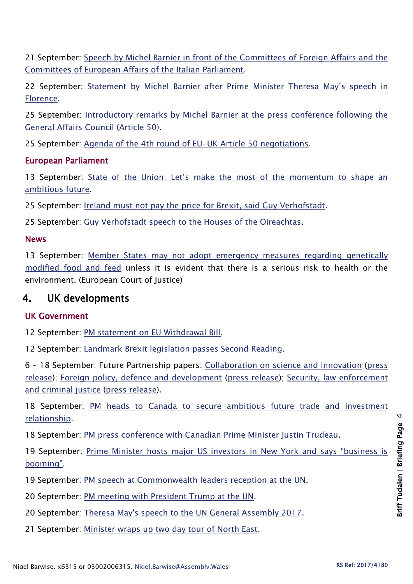21 September: [Speech by Michel Barnier in front of the Committees of Foreign Affairs and the](http://europa.eu/rapid/press-release_SPEECH-17-3404_en.htm)  [Committees of European Affairs of the Italian Parliament.](http://europa.eu/rapid/press-release_SPEECH-17-3404_en.htm)

22 September: [Statement by Michel Barnier after Prim](http://europa.eu/rapid/press-release_STATEMENT-17-3427_en.htm)e Minister Theresa May's speech in [Florence.](http://europa.eu/rapid/press-release_STATEMENT-17-3427_en.htm)

25 September: [Introductory remarks by Michel Barnier at the press conference following the](http://europa.eu/rapid/press-release_SPEECH-17-3461_en.htm)  [General Affairs Council \(Article 50\).](http://europa.eu/rapid/press-release_SPEECH-17-3461_en.htm)

25 September: [Agenda of the 4th round of EU-UK Article 50 negotiations.](https://ec.europa.eu/commission/sites/beta-political/files/agenda_4th_round_0.pdf)

### European Parliament

13 September: State of the Union: Let's make the most of the momentum to shape an [ambitious future.](http://www.europarl.europa.eu/news/en/press-room/20170911IPR83505/soteu-let-s-make-the-most-of-the-momentum-to-shape-an-ambitious-future)

25 September: [Ireland must not pay the price for Brexit, said Guy Verhofstadt.](http://www.europarl.europa.eu/news/en/press-room/20170921IPR84414/ireland-must-not-pay-the-price-for-brexit-says-guy-verhofstadt)

25 September: [Guy Verhofstadt speech to the Houses of the Oireachtas.](http://www.europarl.europa.eu/resources/library/media/20170921RES84415/20170921RES84415.pdf)

### News

13 September: Member States may not adopt emergency measures regarding genetically [modified food and feed](https://curia.europa.eu/jcms/upload/docs/application/pdf/2017-09/cp170096en.pdf) unless it is evident that there is a serious risk to health or the environment. (European Court of Justice)

# 4. UK developments

## UK Government

12 September: [PM statement on EU Withdrawal Bill.](https://www.gov.uk/government/news/pm-statement-on-eu-withdrawal-bill-12-sept-2017)

12 September: Landmark [Brexit legislation passes Second Reading.](https://www.gov.uk/government/news/landmark-brexit-legislation-passes-second-reading)

6 – 18 September: Future Partnership papers: [Collaboration on science and innovation](https://www.gov.uk/government/uploads/system/uploads/attachment_data/file/642542/Science_and_innovation_paper.pdf) [\(press](https://www.gov.uk/government/news/uk-sets-clear-objectives-for-continued-science-success)  [release\)](https://www.gov.uk/government/news/uk-sets-clear-objectives-for-continued-science-success); [Foreign policy, defence and development](https://www.gov.uk/government/uploads/system/uploads/attachment_data/file/643924/Foreign_policy__defence_and_development_paper.pdf) [\(press release\)](https://www.gov.uk/government/news/uk-offers-deep-security-partnership-with-eu-post-brexit-in-the-face-of-growing-global-threats); [Security, law enforcement](https://www.gov.uk/government/uploads/system/uploads/attachment_data/file/645416/Security__law_enforcement_and_criminal_justice_-_a_future_partnership_paper.PDF)  [and criminal justice](https://www.gov.uk/government/uploads/system/uploads/attachment_data/file/645416/Security__law_enforcement_and_criminal_justice_-_a_future_partnership_paper.PDF) [\(press release\)](https://www.gov.uk/government/news/britain-seeks-comprehensive-security-and-law-enforcement-partnership-with-eu-after-brexit).

18 September: [PM heads to Canada to secure ambitious future trade and investment](https://www.gov.uk/government/news/pm-heads-to-canada-to-secure-ambitious-future-trade-and-investment-relationship)  [relationship.](https://www.gov.uk/government/news/pm-heads-to-canada-to-secure-ambitious-future-trade-and-investment-relationship)

18 September: [PM press conference with Canadian Prime Minister Justin Trudeau.](https://www.gov.uk/government/speeches/pm-press-conference-with-canadian-prime-minister-justin-trudeau-18-september)

19 September: Prime Minister hosts major US investors in New York and says "business is [booming"](https://www.gov.uk/government/news/prime-minister-hosts-major-us-investors-in-new-york-and-says-business-is-booming).

19 September: [PM speech at Commonwealth leaders reception at the UN.](https://www.gov.uk/government/speeches/pm-speech-at-commonwealth-leaders-reception)

20 September: [PM meeting with President Trump at the UN.](https://www.gov.uk/government/news/pm-meeting-with-president-trump-20-september-2017)

20 September: [Theresa May's speech to the UN General Assembly 2017.](https://www.gov.uk/government/speeches/theresa-mays-speech-to-the-un-general-assembly-2017)

21 September: [Minister wraps up two day tour of North East.](https://www.gov.uk/government/news/minister-wraps-up-two-day-tour-of-north-east)

Briff Tudalen | Briefing Page 4

**Sriff Tudalen | Briefing Page**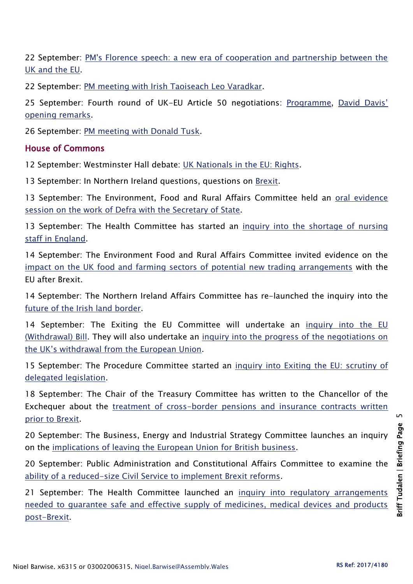22 September: [PM's Florence speech: a new era of cooperation and partnership between the](https://www.gov.uk/government/speeches/pms-florence-speech-a-new-era-of-cooperation-and-partnership-between-the-uk-and-the-eu)  [UK and the EU.](https://www.gov.uk/government/speeches/pms-florence-speech-a-new-era-of-cooperation-and-partnership-between-the-uk-and-the-eu)

22 September: [PM meeting with Irish Taoiseach Leo Varadkar.](https://www.gov.uk/government/news/pm-meeting-with-irish-taoiseach-leo-varadkar-25-sept-2017)

25 September: Fourth round of UK-EU Article 50 negotiations: [Programme,](https://www.gov.uk/government/news/programme-for-fourth-round-of-uk-eu-article-50-negotiations) [David Davis'](https://www.gov.uk/government/news/david-davis-opening-remarks-at-the-start-of-the-fourth-round-of-eu-exit-negotiations)  [opening remarks.](https://www.gov.uk/government/news/david-davis-opening-remarks-at-the-start-of-the-fourth-round-of-eu-exit-negotiations)

26 September: [PM meeting with Donald Tusk.](https://www.gov.uk/government/news/pm-meeting-with-donald-tusk-26-september-2017)

#### House of Commons

12 September: Westminster Hall debate: [UK Nationals in the EU: Rights.](http://hansard.parliament.uk/commons/2017-09-12/debates/0C345162-4B6E-4456-B939-1DB9804DC352/UKNationalsInTheEURights)

13 September: In Northern Ireland questions, questions on [Brexit.](http://hansard.parliament.uk/commons/2017-09-13/debates/1B7FBE62-6203-4B99-AFBF-D43F4077CF04/BrexitDiscussions)

13 September: The Environment, Food and Rural Affairs Committee held an oral evidence [session on the work of Defra with the Secretary of State.](http://www.parliament.uk/business/committees/committees-a-z/commons-select/environment-food-and-rural-affairs-committee/news-parliament-2017/work-defra-gove-evidence-17-19/)

13 September: The Health Committee has started an [inquiry into the shortage of nursing](http://www.parliament.uk/business/committees/committees-a-z/commons-select/health-committee/news-parliament-2017/nursing-workforce-inquiry/)  [staff in England.](http://www.parliament.uk/business/committees/committees-a-z/commons-select/health-committee/news-parliament-2017/nursing-workforce-inquiry/)

14 September: The Environment Food and Rural Affairs Committee invited evidence on the [impact on the UK food and farming sectors of potential new trading arrangements](https://www.parliament.uk/business/committees/committees-a-z/commons-select/environment-food-and-rural-affairs-committee/news-parliament-2017/brexit-trade-food-launch-17-19/) with the EU after Brexit.

14 September: The Northern Ireland Affairs Committee has re-launched the inquiry into the [future of the Irish land border.](http://www.parliament.uk/business/committees/committees-a-z/commons-select/northern-ireland-affairs-committee/news-parliament-2017/future-of-the-irish-land-border-inquiry-2017-19/)

14 September: The Exiting the EU Committee will undertake an [inquiry into the EU](http://www.parliament.uk/business/committees/committees-a-z/commons-select/exiting-the-european-union-committee/news-parliament-2017/eu-withdrawal-bill-launch-17-19/)  [\(Withdrawal\) Bill.](http://www.parliament.uk/business/committees/committees-a-z/commons-select/exiting-the-european-union-committee/news-parliament-2017/eu-withdrawal-bill-launch-17-19/) They will also undertake an [inquiry into the progress of the negotiations on](http://www.parliament.uk/business/committees/committees-a-z/commons-select/exiting-the-european-union-committee/news-parliament-2017/progress-uk-negotiations-eu-withdrawal-launch-17-19/)  the UK's withdraw[al from the European Union.](http://www.parliament.uk/business/committees/committees-a-z/commons-select/exiting-the-european-union-committee/news-parliament-2017/progress-uk-negotiations-eu-withdrawal-launch-17-19/)

15 September: The Procedure Committee started an [inquiry into Exiting the EU: scrutiny of](http://www.parliament.uk/business/committees/committees-a-z/commons-select/procedure-committee/news-parliament-2017/exiting-eu-scrutiny-delegated-legislation-launch-17-19/)  [delegated legislation.](http://www.parliament.uk/business/committees/committees-a-z/commons-select/procedure-committee/news-parliament-2017/exiting-eu-scrutiny-delegated-legislation-launch-17-19/)

18 September: The Chair of the Treasury Committee has written to the Chancellor of the Exchequer about the [treatment of cross-border pensions and insurance contracts written](http://www.parliament.uk/business/committees/committees-a-z/commons-select/treasury-committee/news-parliament-2017/brexit-pensions-insurance-17-19/)  [prior to Brexit.](http://www.parliament.uk/business/committees/committees-a-z/commons-select/treasury-committee/news-parliament-2017/brexit-pensions-insurance-17-19/)

20 September: The Business, Energy and Industrial Strategy Committee launches an inquiry on the [implications of leaving the European Union for British business.](https://www.parliament.uk/business/committees/committees-a-z/commons-select/business-energy-industrial-strategy/news-parliament-2017/brexit-uk-business-launch-17-19/)

20 September: Public Administration and Constitutional Affairs Committee to examine the [ability of a reduced-size Civil Service to implement Brexit reforms.](http://www.parliament.uk/business/committees/committees-a-z/commons-select/public-administration-and-constitutional-affairs-committee/news-parliament-2017/civil-service-inquiry-launch-17-19/)

21 September: The Health Committee launched an inquiry into regulatory arrangements [needed to guarantee safe and effective supply of medicines, medical devices and products](http://www.parliament.uk/business/committees/committees-a-z/commons-select/health-committee/news-parliament-2017/brexit-medicines-substances-human-origin-launch-17-19/)  [post-Brexit.](http://www.parliament.uk/business/committees/committees-a-z/commons-select/health-committee/news-parliament-2017/brexit-medicines-substances-human-origin-launch-17-19/)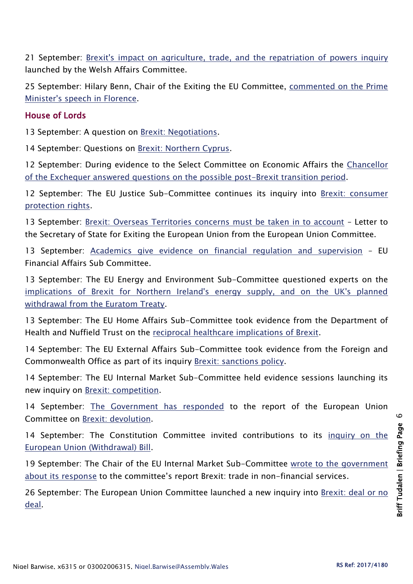21 September: [Brexit's impact on agriculture, trade, and the repatriation of powers inquiry](http://www.parliament.uk/business/committees/committees-a-z/commons-select/welsh-affairs-committee/news-parliament-2017/brexit-agriculture-trade-repatriation-powers-launch-17-19/) launched by the Welsh Affairs Committee.

25 September: Hilary Benn, Chair of the Exiting the EU Committee, commented on the Prime [Minister's speech in Florence.](http://www.parliament.uk/business/committees/committees-a-z/commons-select/exiting-the-european-union-committee/news-parliament-2017/florence-eu-speech-chairs-statement-17-19/)

#### House of Lords

13 September: A question on [Brexit: Negotiations.](http://hansard.parliament.uk/Lords/2017-09-13/debates/41EC0792-2555-4923-BB4C-DC2E784B1142/BrexitNegotiations)

14 September: Questions on [Brexit: Northern Cyprus.](http://hansard.parliament.uk/Lords/2017-09-14/debates/D8687D2D-BA6F-4270-95C1-79F37D56ADB6/BrexitNorthernCyprus)

12 September: During evidence to the Select Committee on Economic Affairs the [Chancellor](http://data.parliament.uk/writtenevidence/committeeevidence.svc/evidencedocument/economic-affairs-committee/chancellor-of-the-exchequer/oral/70094.html)  [of the Exchequer answered questions on the possible post-Brexit transition period.](http://data.parliament.uk/writtenevidence/committeeevidence.svc/evidencedocument/economic-affairs-committee/chancellor-of-the-exchequer/oral/70094.html)

12 September: The EU Justice Sub-Committee continues its inquiry into [Brexit: consumer](http://www.parliament.uk/business/committees/committees-a-z/lords-select/eu-justice-subcommittee/news-parliament-2017/brexit-consumer-protection-freeman-green/)  [protection rights.](http://www.parliament.uk/business/committees/committees-a-z/lords-select/eu-justice-subcommittee/news-parliament-2017/brexit-consumer-protection-freeman-green/)

13 September: [Brexit: Overseas Territories concerns must be taken in to account](http://www.parliament.uk/business/committees/committees-a-z/lords-select/eu-select-committee-/news-parliament-2017/overseas-territories-letter-published/) - Letter to the Secretary of State for Exiting the European Union from the European Union Committee.

13 September: [Academics give evidence on financial regulation and supervision](http://www.parliament.uk/business/committees/committees-a-z/lords-select/eu-financial-affairs-subcommittee/news-parliament-2017/financial-supervision-and-regulation-evidence/) – EU Financial Affairs Sub Committee.

13 September: The EU Energy and Environment Sub-Committee questioned experts on the [implications of Brexit for Northern Ireland's energy supply, and on the UK's planned](https://www.parliament.uk/business/committees/committees-a-z/lords-select/eu-energy-environment-subcommittee/news-parliament-2017/euratom-brexit-energy-security/)  [withdrawal from the Euratom Treaty.](https://www.parliament.uk/business/committees/committees-a-z/lords-select/eu-energy-environment-subcommittee/news-parliament-2017/euratom-brexit-energy-security/)

13 September: The EU Home Affairs Sub-Committee took evidence from the Department of Health and Nuffield Trust on the [reciprocal healthcare implications of Brexit.](http://www.parliament.uk/business/committees/committees-a-z/lords-select/eu-home-affairs-subcommittee/news-parliament-2017/home-office-evidence-session/)

14 September: The EU External Affairs Sub-Committee took evidence from the Foreign and Commonwealth Office as part of its inquiry [Brexit: sanctions policy.](http://www.parliament.uk/business/committees/committees-a-z/lords-select/eu-external-affairs-subcommittee/news-parliament-2017/foreign-office-sanctions-policy/)

14 September: The EU Internal Market Sub-Committee held evidence sessions launching its new inquiry on [Brexit: competition.](http://www.parliament.uk/business/committees/committees-a-z/lords-select/eu-internal-market-subcommittee/news-parliament-2017/brexit-competition-cma-regulators/)

14 September: [The Government has responded](http://www.parliament.uk/documents/lords-committees/eu-select/Correspondence-2017-19/140917-Govt-Response-to-Lords-EU-Brexit-devolution.pdf) to the report of the European Union Committee on [Brexit: devolution.](https://publications.parliament.uk/pa/ld201719/ldselect/ldeucom/9/9.pdf)

14 September: The Constitution Committee invited contributions to its [inquiry on the](http://www.parliament.uk/business/committees/committees-a-z/lords-select/constitution-committee/news-parliament-2017/eu-withdrawal-bill-cfe/)  [European Union \(Withdrawal\) Bill.](http://www.parliament.uk/business/committees/committees-a-z/lords-select/constitution-committee/news-parliament-2017/eu-withdrawal-bill-cfe/)

19 September: The Chair of the EU Internal Market Sub-Committee [wrote to the government](http://www.parliament.uk/documents/lords-committees/eu-internal-market-subcommittee/brexit-%20trade%20in%20services/BARONESS-Anelay-%20Brexit-trade-in-non-financial-services-19.09.17.pdf)  [about its response](http://www.parliament.uk/documents/lords-committees/eu-internal-market-subcommittee/brexit-%20trade%20in%20services/BARONESS-Anelay-%20Brexit-trade-in-non-financial-services-19.09.17.pdf) to the committee's report Brexit: trade in non-financial services.

26 September: The European Union Committee launched a new inquiry into Brexit: deal or no [deal.](http://www.parliament.uk/business/committees/committees-a-z/lords-select/eu-select-committee-/news-parliament-2017/deal-or-no-deal-inquiry-launch/)